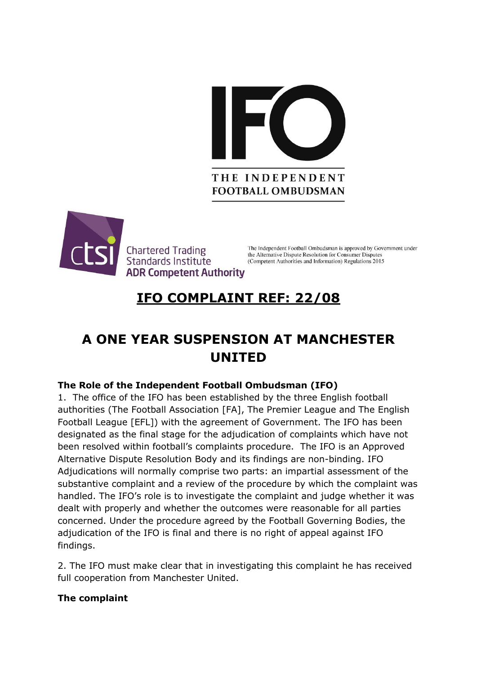



**Chartered Trading** Standards Institute **ADR Competent Authority** 

The Independent Football Ombudsman is approved by Government under the Alternative Dispute Resolution for Consumer Disputes (Competent Authorities and Information) Regulations 2015

# **IFO COMPLAINT REF: 22/08**

## **A ONE YEAR SUSPENSION AT MANCHESTER UNITED**

### **The Role of the Independent Football Ombudsman (IFO)**

1. The office of the IFO has been established by the three English football authorities (The Football Association [FA], The Premier League and The English Football League [EFL]) with the agreement of Government. The IFO has been designated as the final stage for the adjudication of complaints which have not been resolved within football's complaints procedure. The IFO is an Approved Alternative Dispute Resolution Body and its findings are non-binding. IFO Adjudications will normally comprise two parts: an impartial assessment of the substantive complaint and a review of the procedure by which the complaint was handled. The IFO's role is to investigate the complaint and judge whether it was dealt with properly and whether the outcomes were reasonable for all parties concerned. Under the procedure agreed by the Football Governing Bodies, the adjudication of the IFO is final and there is no right of appeal against IFO findings.

2. The IFO must make clear that in investigating this complaint he has received full cooperation from Manchester United.

### **The complaint**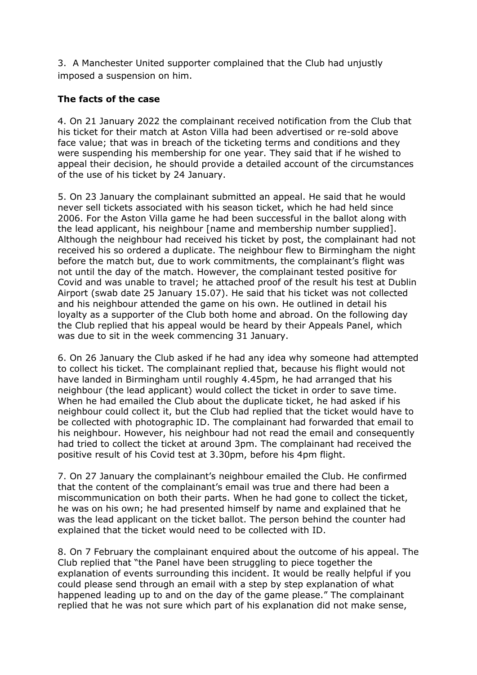3. A Manchester United supporter complained that the Club had unjustly imposed a suspension on him.

#### **The facts of the case**

4. On 21 January 2022 the complainant received notification from the Club that his ticket for their match at Aston Villa had been advertised or re-sold above face value; that was in breach of the ticketing terms and conditions and they were suspending his membership for one year. They said that if he wished to appeal their decision, he should provide a detailed account of the circumstances of the use of his ticket by 24 January.

5. On 23 January the complainant submitted an appeal. He said that he would never sell tickets associated with his season ticket, which he had held since 2006. For the Aston Villa game he had been successful in the ballot along with the lead applicant, his neighbour [name and membership number supplied]. Although the neighbour had received his ticket by post, the complainant had not received his so ordered a duplicate. The neighbour flew to Birmingham the night before the match but, due to work commitments, the complainant's flight was not until the day of the match. However, the complainant tested positive for Covid and was unable to travel; he attached proof of the result his test at Dublin Airport (swab date 25 January 15.07). He said that his ticket was not collected and his neighbour attended the game on his own. He outlined in detail his loyalty as a supporter of the Club both home and abroad. On the following day the Club replied that his appeal would be heard by their Appeals Panel, which was due to sit in the week commencing 31 January.

6. On 26 January the Club asked if he had any idea why someone had attempted to collect his ticket. The complainant replied that, because his flight would not have landed in Birmingham until roughly 4.45pm, he had arranged that his neighbour (the lead applicant) would collect the ticket in order to save time. When he had emailed the Club about the duplicate ticket, he had asked if his neighbour could collect it, but the Club had replied that the ticket would have to be collected with photographic ID. The complainant had forwarded that email to his neighbour. However, his neighbour had not read the email and consequently had tried to collect the ticket at around 3pm. The complainant had received the positive result of his Covid test at 3.30pm, before his 4pm flight.

7. On 27 January the complainant's neighbour emailed the Club. He confirmed that the content of the complainant's email was true and there had been a miscommunication on both their parts. When he had gone to collect the ticket, he was on his own; he had presented himself by name and explained that he was the lead applicant on the ticket ballot. The person behind the counter had explained that the ticket would need to be collected with ID.

8. On 7 February the complainant enquired about the outcome of his appeal. The Club replied that "the Panel have been struggling to piece together the explanation of events surrounding this incident. It would be really helpful if you could please send through an email with a step by step explanation of what happened leading up to and on the day of the game please." The complainant replied that he was not sure which part of his explanation did not make sense,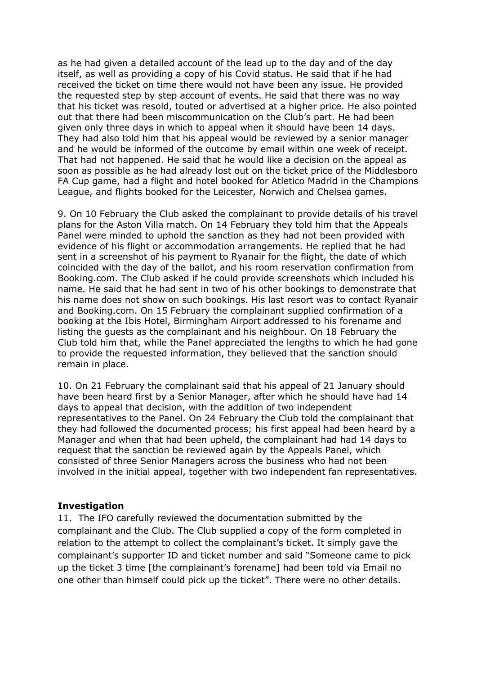as he had given a detailed account of the lead up to the day and of the day itself, as well as providing a copy of his Covid status. He said that if he had received the ticket on time there would not have been any issue. He provided the requested step by step account of events. He said that there was no way that his ticket was resold, touted or advertised at a higher price. He also pointed out that there had been miscommunication on the Club's part. He had been given only three days in which to appeal when it should have been 14 days. They had also told him that his appeal would be reviewed by a senior manager and he would be informed of the outcome by email within one week of receipt. That had not happened. He said that he would like a decision on the appeal as soon as possible as he had already lost out on the ticket price of the Middlesboro FA Cup game, had a flight and hotel booked for Atletico Madrid in the Champions League, and flights booked for the Leicester, Norwich and Chelsea games.

9. On 10 February the Club asked the complainant to provide details of his travel plans for the Aston Villa match. On 14 February they told him that the Appeals Panel were minded to uphold the sanction as they had not been provided with evidence of his flight or accommodation arrangements. He replied that he had sent in a screenshot of his payment to Ryanair for the flight, the date of which coincided with the day of the ballot, and his room reservation confirmation from Booking.com. The Club asked if he could provide screenshots which included his name. He said that he had sent in two of his other bookings to demonstrate that his name does not show on such bookings. His last resort was to contact Ryanair and Booking.com. On 15 February the complainant supplied confirmation of a booking at the Ibis Hotel, Birmingham Airport addressed to his forename and listing the guests as the complainant and his neighbour. On 18 February the Club told him that, while the Panel appreciated the lengths to which he had gone to provide the requested information, they believed that the sanction should remain in place.

10. On 21 February the complainant said that his appeal of 21 January should have been heard first by a Senior Manager, after which he should have had 14 days to appeal that decision, with the addition of two independent representatives to the Panel. On 24 February the Club told the complainant that they had followed the documented process; his first appeal had been heard by a Manager and when that had been upheld, the complainant had had 14 days to request that the sanction be reviewed again by the Appeals Panel, which consisted of three Senior Managers across the business who had not been involved in the initial appeal, together with two independent fan representatives.

#### **Investigation**

11. The IFO carefully reviewed the documentation submitted by the complainant and the Club. The Club supplied a copy of the form completed in relation to the attempt to collect the complainant's ticket. It simply gave the complainant's supporter ID and ticket number and said "Someone came to pick up the ticket 3 time [the complainant's forename] had been told via Email no one other than himself could pick up the ticket". There were no other details.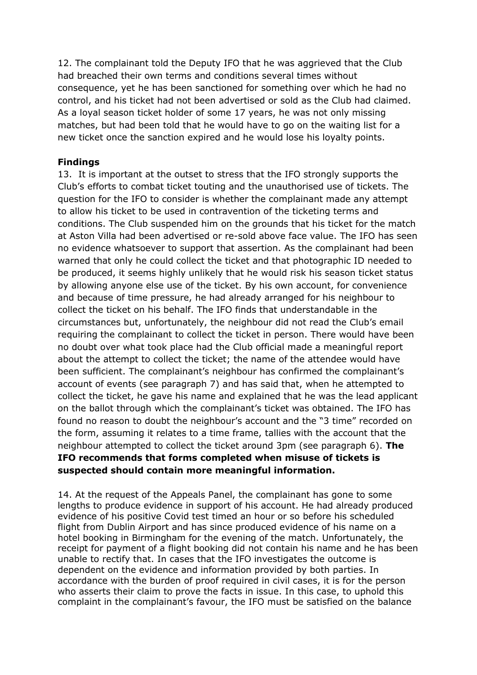12. The complainant told the Deputy IFO that he was aggrieved that the Club had breached their own terms and conditions several times without consequence, yet he has been sanctioned for something over which he had no control, and his ticket had not been advertised or sold as the Club had claimed. As a loyal season ticket holder of some 17 years, he was not only missing matches, but had been told that he would have to go on the waiting list for a new ticket once the sanction expired and he would lose his loyalty points.

#### **Findings**

13. It is important at the outset to stress that the IFO strongly supports the Club's efforts to combat ticket touting and the unauthorised use of tickets. The question for the IFO to consider is whether the complainant made any attempt to allow his ticket to be used in contravention of the ticketing terms and conditions. The Club suspended him on the grounds that his ticket for the match at Aston Villa had been advertised or re-sold above face value. The IFO has seen no evidence whatsoever to support that assertion. As the complainant had been warned that only he could collect the ticket and that photographic ID needed to be produced, it seems highly unlikely that he would risk his season ticket status by allowing anyone else use of the ticket. By his own account, for convenience and because of time pressure, he had already arranged for his neighbour to collect the ticket on his behalf. The IFO finds that understandable in the circumstances but, unfortunately, the neighbour did not read the Club's email requiring the complainant to collect the ticket in person. There would have been no doubt over what took place had the Club official made a meaningful report about the attempt to collect the ticket; the name of the attendee would have been sufficient. The complainant's neighbour has confirmed the complainant's account of events (see paragraph 7) and has said that, when he attempted to collect the ticket, he gave his name and explained that he was the lead applicant on the ballot through which the complainant's ticket was obtained. The IFO has found no reason to doubt the neighbour's account and the "3 time" recorded on the form, assuming it relates to a time frame, tallies with the account that the neighbour attempted to collect the ticket around 3pm (see paragraph 6). **The IFO recommends that forms completed when misuse of tickets is suspected should contain more meaningful information.** 

14. At the request of the Appeals Panel, the complainant has gone to some lengths to produce evidence in support of his account. He had already produced evidence of his positive Covid test timed an hour or so before his scheduled flight from Dublin Airport and has since produced evidence of his name on a hotel booking in Birmingham for the evening of the match. Unfortunately, the receipt for payment of a flight booking did not contain his name and he has been unable to rectify that. In cases that the IFO investigates the outcome is dependent on the evidence and information provided by both parties. In accordance with the burden of proof required in civil cases, it is for the person who asserts their claim to prove the facts in issue. In this case, to uphold this complaint in the complainant's favour, the IFO must be satisfied on the balance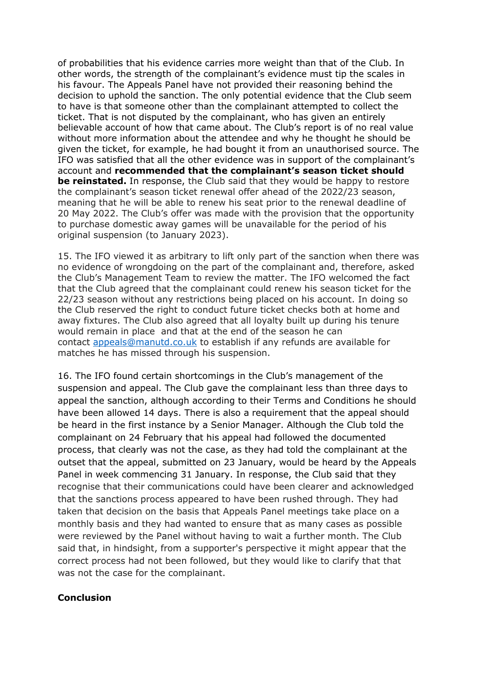of probabilities that his evidence carries more weight than that of the Club. In other words, the strength of the complainant's evidence must tip the scales in his favour. The Appeals Panel have not provided their reasoning behind the decision to uphold the sanction. The only potential evidence that the Club seem to have is that someone other than the complainant attempted to collect the ticket. That is not disputed by the complainant, who has given an entirely believable account of how that came about. The Club's report is of no real value without more information about the attendee and why he thought he should be given the ticket, for example, he had bought it from an unauthorised source. The IFO was satisfied that all the other evidence was in support of the complainant's account and **recommended that the complainant's season ticket should be reinstated.** In response, the Club said that they would be happy to restore the complainant's season ticket renewal offer ahead of the 2022/23 season, meaning that he will be able to renew his seat prior to the renewal deadline of 20 May 2022. The Club's offer was made with the provision that the opportunity to purchase domestic away games will be unavailable for the period of his original suspension (to January 2023).

15. The IFO viewed it as arbitrary to lift only part of the sanction when there was no evidence of wrongdoing on the part of the complainant and, therefore, asked the Club's Management Team to review the matter. The IFO welcomed the fact that the Club agreed that the complainant could renew his season ticket for the 22/23 season without any restrictions being placed on his account. In doing so the Club reserved the right to conduct future ticket checks both at home and away fixtures. The Club also agreed that all loyalty built up during his tenure would remain in place and that at the end of the season he can contact [appeals@manutd.co.uk](mailto:appeals@manutd.co.uk) to establish if any refunds are available for matches he has missed through his suspension.

16. The IFO found certain shortcomings in the Club's management of the suspension and appeal. The Club gave the complainant less than three days to appeal the sanction, although according to their Terms and Conditions he should have been allowed 14 days. There is also a requirement that the appeal should be heard in the first instance by a Senior Manager. Although the Club told the complainant on 24 February that his appeal had followed the documented process, that clearly was not the case, as they had told the complainant at the outset that the appeal, submitted on 23 January, would be heard by the Appeals Panel in week commencing 31 January. In response, the Club said that they recognise that their communications could have been clearer and acknowledged that the sanctions process appeared to have been rushed through. They had taken that decision on the basis that Appeals Panel meetings take place on a monthly basis and they had wanted to ensure that as many cases as possible were reviewed by the Panel without having to wait a further month. The Club said that, in hindsight, from a supporter's perspective it might appear that the correct process had not been followed, but they would like to clarify that that was not the case for the complainant.

#### **Conclusion**